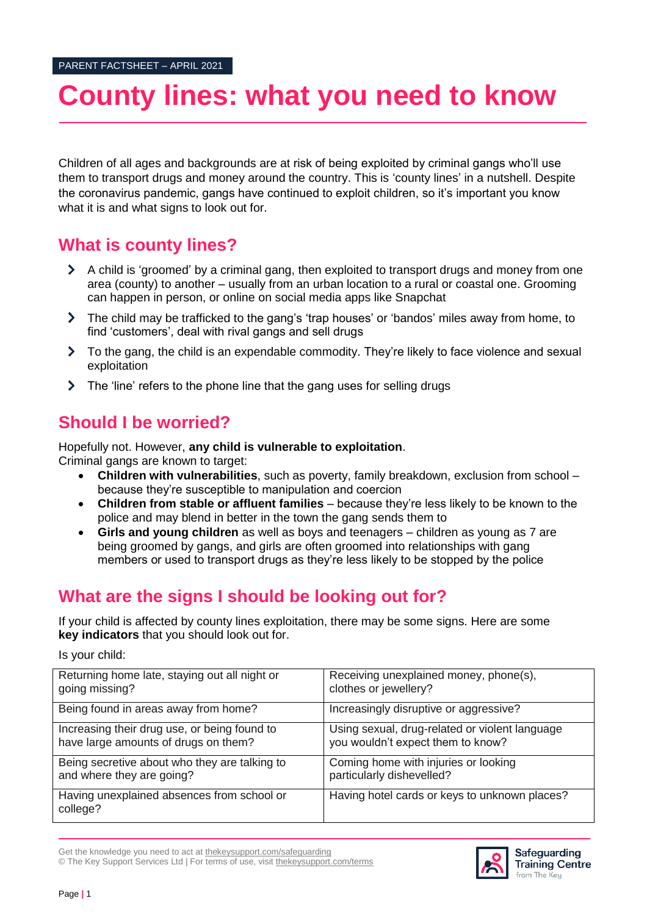# **County lines: what you need to know**

Children of all ages and backgrounds are at risk of being exploited by criminal gangs who'll use them to transport drugs and money around the country. This is 'county lines' in a nutshell. Despite the coronavirus pandemic, gangs have continued to exploit children, so it's important you know what it is and what signs to look out for.

### **What is county lines?**

- A child is 'groomed' by a criminal gang, then exploited to transport drugs and money from one area (county) to another – usually from an urban location to a rural or coastal one. Grooming can happen in person, or online on social media apps like Snapchat
- The child may be trafficked to the gang's 'trap houses' or 'bandos' miles away from home, to find 'customers', deal with rival gangs and sell drugs
- $\sum$ To the gang, the child is an expendable commodity. They're likely to face violence and sexual exploitation
- > The 'line' refers to the phone line that the gang uses for selling drugs

## **Should I be worried?**

Hopefully not. However, **any child is vulnerable to exploitation**. Criminal gangs are known to target:

- **Children with vulnerabilities**, such as poverty, family breakdown, exclusion from school because they're susceptible to manipulation and coercion
- **Children from stable or affluent families** because they're less likely to be known to the police and may blend in better in the town the gang sends them to
- **Girls and young children** as well as boys and teenagers children as young as 7 are being groomed by gangs, and girls are often groomed into relationships with gang members or used to transport drugs as they're less likely to be stopped by the police

# **What are the signs I should be looking out for?**

If your child is affected by county lines exploitation, there may be some signs. Here are some **key indicators** that you should look out for.

Is your child:

| Returning home late, staying out all night or          | Receiving unexplained money, phone(s),         |
|--------------------------------------------------------|------------------------------------------------|
| going missing?                                         | clothes or jewellery?                          |
| Being found in areas away from home?                   | Increasingly disruptive or aggressive?         |
| Increasing their drug use, or being found to           | Using sexual, drug-related or violent language |
| have large amounts of drugs on them?                   | you wouldn't expect them to know?              |
| Being secretive about who they are talking to          | Coming home with injuries or looking           |
| and where they are going?                              | particularly dishevelled?                      |
| Having unexplained absences from school or<br>college? | Having hotel cards or keys to unknown places?  |



Safeguarding **Training Centre** from The Key

© The Key Support Services Ltd | For terms of use, visit [thekeysupport.com/terms](https://thekeysupport.com/terms-of-use)

Get the knowledge you need to act at [thekeysupport.com/safeguarding](https://safeguarding.thekeysupport.com/)